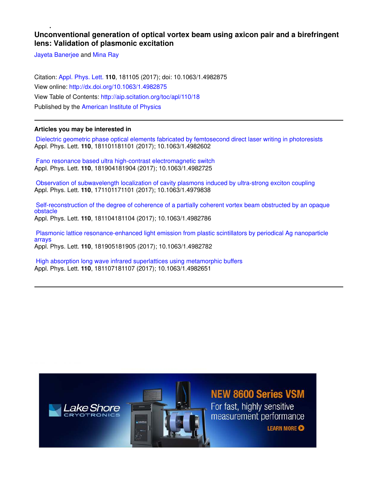## **Unconventional generation of optical vortex beam using axicon pair and a birefringent lens: Validation of plasmonic excitation**

Jayeta Banerjee and Mina Ray

Citation: Appl. Phys. Lett. **110**, 181105 (2017); doi: 10.1063/1.4982875 View online: http://dx.doi.org/10.1063/1.4982875 View Table of Contents: http://aip.scitation.org/toc/apl/110/18 Published by the American Institute of Physics

## **Articles you may be interested in**

 Dielectric geometric phase optical elements fabricated by femtosecond direct laser writing in photoresists Appl. Phys. Lett. **110**, 181101181101 (2017); 10.1063/1.4982602

 Fano resonance based ultra high-contrast electromagnetic switch Appl. Phys. Lett. **110**, 181904181904 (2017); 10.1063/1.4982725

 Observation of subwavelength localization of cavity plasmons induced by ultra-strong exciton coupling Appl. Phys. Lett. **110**, 171101171101 (2017); 10.1063/1.4979838

 Self-reconstruction of the degree of coherence of a partially coherent vortex beam obstructed by an opaque obstacle Appl. Phys. Lett. **110**, 181104181104 (2017); 10.1063/1.4982786

 Plasmonic lattice resonance-enhanced light emission from plastic scintillators by periodical Ag nanoparticle arrays Appl. Phys. Lett. **110**, 181905181905 (2017); 10.1063/1.4982782

 High absorption long wave infrared superlattices using metamorphic buffers Appl. Phys. Lett. **110**, 181107181107 (2017); 10.1063/1.4982651

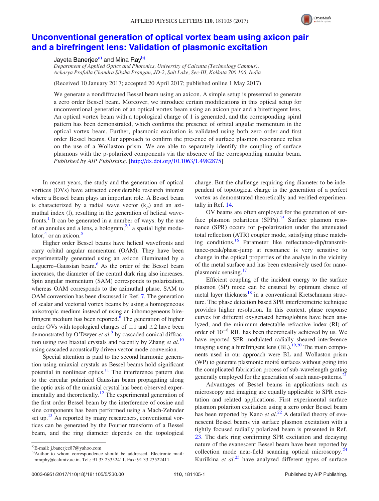

## Unconventional generation of optical vortex beam using axicon pair and a birefringent lens: Validation of plasmonic excitation

Jayeta Banerjee<sup>a)</sup> and Mina Ray<sup>b)</sup>

Department of Applied Optics and Photonics, University of Calcutta (Technology Campus), Acharya Prafulla Chandra Siksha Prangan, JD-2, Salt Lake, Sec-III, Kolkata 700 106, India

(Received 10 January 2017; accepted 20 April 2017; published online 1 May 2017)

We generate a nondiffracted Bessel beam using an axicon. A simple setup is presented to generate a zero order Bessel beam. Moreover, we introduce certain modifications in this optical setup for unconventional generation of an optical vortex beam using an axicon pair and a birefringent lens. An optical vortex beam with a topological charge of 1 is generated, and the corresponding spiral pattern has been demonstrated, which confirms the presence of orbital angular momentum in the optical vortex beam. Further, plasmonic excitation is validated using both zero order and first order Bessel beams. Our approach to confirm the presence of surface plasmon resonance relies on the use of a Wollaston prism. We are able to separately identify the coupling of surface plasmons with the p-polarized components via the absence of the corresponding annular beam. Published by AIP Publishing. [http://dx.doi.org/10.1063/1.4982875]

In recent years, the study and the generation of optical vortices (OVs) have attracted considerable research interest where a Bessel beam plays an important role. A Bessel beam is characterized by a radial wave vector  $(k_{\rho})$  and an azimuthal index (l), resulting in the generation of helical wavefronts.<sup>1</sup> It can be generated in a number of ways: by the use of an annulus and a lens, a hologram,<sup>2,3</sup> a spatial light modulator,<sup>4</sup> or an axicon.<sup>5</sup>

Higher order Bessel beams have helical wavefronts and carry orbital angular momentum (OAM). They have been experimentally generated using an axicon illuminated by a Laguerre–Gaussian beam. $6$  As the order of the Bessel beam increases, the diameter of the central dark ring also increases. Spin angular momentum (SAM) corresponds to polarization, whereas OAM corresponds to the azimuthal phase. SAM to OAM conversion has been discussed in Ref. 7. The generation of scalar and vectorial vortex beams by using a homogeneous anisotropic medium instead of using an inhomogeneous birefringent medium has been reported.<sup>8</sup> The generation of higher order OVs with topological charges of  $\pm 1$  and  $\pm 2$  have been demonstrated by O'Dwyer et  $al$ .<sup>9</sup> by cascaded conical diffraction using two biaxial crystals and recently by Zhang *et al.*<sup>10</sup> using cascaded acoustically driven vector mode conversion.

Special attention is paid to the second harmonic generation using uniaxial crystals as Bessel beams hold significant potential in nonlinear optics. $11$  The interference pattern due to the circular polarized Gaussian beam propagating along the optic axis of the uniaxial crystal has been observed experimentally and theoretically.<sup>12</sup> The experimental generation of the first order Bessel beam by the interference of cosine and sine components has been performed using a Mach-Zehnder set up. $13$  As reported by many researchers, conventional vortices can be generated by the Fourier transform of a Bessel beam, and the ring diameter depends on the topological

charge. But the challenge requiring ring diameter to be independent of topological charge is the generation of a perfect vortex as demonstrated theoretically and verified experimentally in Ref. 14.

OV beams are often employed for the generation of surface plasmon polaritons  $(SPPs)$ .<sup>15</sup> Surface plasmon resonance (SPR) occurs for p-polarization under the attenuated total reflection (ATR) coupler mode, satisfying phase matching conditions.<sup>16</sup> Parameter like reflectance-dip/transmittance-peak/phase-jump at resonance is very sensitive to change in the optical properties of the analyte in the vicinity of the metal surface and has been extensively used for nanoplasmonic sensing.<sup>17</sup>

Efficient coupling of the incident energy to the surface plasmon (SP) mode can be ensured by optimum choice of metal layer thickness<sup>18</sup> in a conventional Kretschmann structure. The phase detection based SPR interferometric technique provides higher resolution. In this context, phase response curves for different oxygenated hemoglobins have been analyzed, and the minimum detectable refractive index (RI) of order of  $10^{-8}$  RIU has been theoretically achieved by us. We have reported SPR modulated radially sheared interference imaging using a birefringent lens (BL).<sup>19,20</sup> The main components used in our approach were BL and Wollaston prism (WP) to generate plasmonic moiré surfaces without going into the complicated fabrication process of sub-wavelength grating generally employed for the generation of such nano-patterns.<sup>21</sup>

Advantages of Bessel beams in applications such as microscopy and imaging are equally applicable to SPR excitation and related applications. First experimental surface plasmon polariton excitation using a zero order Bessel beam has been reported by Kano et  $al.^{22}$  A detailed theory of evanescent Bessel beams via surface plasmon excitation with a tightly focused radially polarized beam is presented in Ref. 23. The dark ring confirming SPR excitation and decaying nature of the evanescent Bessel beam have been reported by collection mode near-field scanning optical microscopy.<sup>24</sup> Kurilkina et  $al$ <sup>25</sup> have analyzed different types of surface

a)E-mail: j.banerjee87@yahoo.com

b)Author to whom correspondence should be addressed. Electronic mail: mraphy@caluniv.ac.in. Tel.: 91 33 23352411. Fax: 91 33 23522411.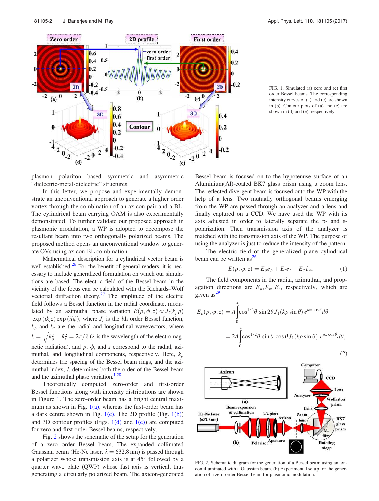

FIG. 1. Simulated (a) zero and (c) first order Bessel beams. The corresponding intensity curves of (a) and (c) are shown in (b). Contour plots of (a) and (c) are shown in (d) and (e), respectively.

plasmon polariton based symmetric and asymmetric "dielectric-metal-dielectric" structures.

In this letter, we propose and experimentally demonstrate an unconventional approach to generate a higher order vortex through the combination of an axicon pair and a BL. The cylindrical beam carrying OAM is also experimentally demonstrated. To further validate our proposed approach in plasmonic modulation, a WP is adopted to decompose the resultant beam into two orthogonally polarized beams. The proposed method opens an unconventional window to generate OVs using axicon-BL combination.

Mathematical description for a cylindrical vector beam is well established. $26$  For the benefit of general readers, it is necessary to include generalized formulation on which our simulations are based. The electric field of the Bessel beam in the vicinity of the focus can be calculated with the Richards–Wolf vectorial diffraction theory. $27$  The amplitude of the electric field follows a Bessel function in the radial coordinate, modulated by an azimuthal phase variation  $E(\rho, \phi, z) \propto J_l(k_o \rho)$  $\exp(ik_z z) \exp(il\phi)$ , where  $J_l$  is the *l*th order Bessel function,  $k_{\rho}$  and  $k_{z}$  are the radial and longitudinal wavevectors, where  $k = \sqrt{k_{\rho}^2 + k_z^2} = 2\pi/\lambda$  ( $\lambda$  is the wavelength of the electromagnetic radiation), and  $\rho$ ,  $\phi$ , and z correspond to the radial, azimuthal, and longitudinal components, respectively. Here,  $k_{\rho}$ determines the spacing of the Bessel beam rings, and the azimuthal index, l, determines both the order of the Bessel beam and the azimuthal phase variation. $1,28$ 

Theoretically computed zero-order and first-order Bessel functions along with intensity distributions are shown in Figure 1. The zero-order beam has a bright central maximum as shown in Fig.  $1(a)$ , whereas the first-order beam has a dark centre shown in Fig.  $1(c)$ . The 2D profile (Fig.  $1(b)$ ) and 3D contour profiles (Figs.  $1(d)$  and  $1(e)$ ) are computed for zero and first order Bessel beams, respectively.

Fig. 2 shows the schematic of the setup for the generation of a zero order Bessel beam. The expanded collimated Gaussian beam (He-Ne laser,  $\lambda = 632.8$  nm) is passed through a polarizer whose transmission axis is at 45 followed by a quarter wave plate (QWP) whose fast axis is vertical, thus generating a circularly polarized beam. The axicon-generated Bessel beam is focused on to the hypotenuse surface of an Aluminium(Al)-coated BK7 glass prism using a zoom lens. The reflected divergent beam is focused onto the WP with the help of a lens. Two mutually orthogonal beams emerging from the WP are passed through an analyzer and a lens and finally captured on a CCD. We have used the WP with its axis adjusted in order to laterally separate the p- and spolarization. Then transmission axis of the analyzer is matched with the transmission axis of the WP. The purpose of using the analyzer is just to reduce the intensity of the pattern.

The electric field of the generalized plane cylindrical beam can be written as $^{26}$ 

$$
\bar{E}(\rho,\varphi,z) = E_{\rho}\hat{e}_{\rho} + E_{z}\hat{e}_{z} + E_{\varphi}\hat{e}_{\varphi}.
$$
 (1)

The field components in the radial, azimuthal, and propagation directions are  $E_{\rho}, E_{\varphi}, E_z$ , respectively, which are given  $as^2$ <sup>9</sup>

$$
E_{\rho}(\rho, \varphi, z) = A \int_{0}^{\alpha} \cos^{1/2} \theta \sin 2\theta J_{1}(k\rho \sin \theta) e^{ikz \cos \theta} d\theta
$$
  
= 
$$
2A \int_{0}^{\alpha} \cos^{1/2} \theta \sin \theta \cos \theta J_{1}(k\rho \sin \theta) e^{ikz \cos \theta} d\theta,
$$

$$
(2)
$$



FIG. 2. Schematic diagram for the generation of a Bessel beam using an axicon illuminated with a Gaussian beam. (b) Experimental setup for the generation of a zero-order Bessel beam for plasmonic modulation.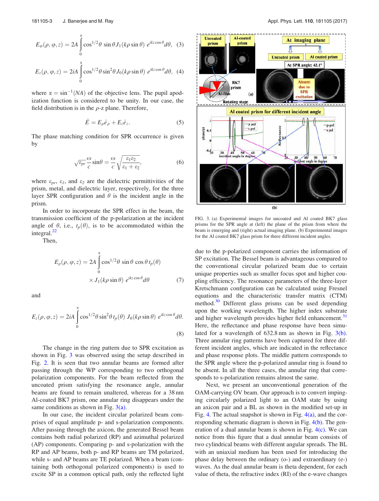$$
E_{\varphi}(\rho, \varphi, z) = 2A \int_{0}^{\alpha} \cos^{1/2} \theta \sin \theta J_{1}(k\rho \sin \theta) e^{ikz \cos \theta} d\theta, (3)
$$
  

$$
E_{z}(\rho, \varphi, z) = 2iA \int_{0}^{\alpha} \cos^{1/2} \theta \sin^{2} \theta J_{0}(k\rho \sin \theta) e^{ikz \cos \theta} d\theta, (4)
$$

where  $\alpha = \sin^{-1}(NA)$  of the objective lens. The pupil apodization function is considered to be unity. In our case, the field distribution is in the  $\rho$ -z plane. Therefore,

$$
\bar{E} = E_{\rho} \hat{e}_{\rho} + E_{z} \hat{e}_{z}.
$$
 (5)

The phase matching condition for SPR occurrence is given by

$$
\sqrt{\varepsilon_{pr}}\frac{\omega}{c}\sin\theta = \frac{\omega}{c}\sqrt{\frac{\varepsilon_1\varepsilon_2}{\varepsilon_1+\varepsilon_2}},\tag{6}
$$

where  $\varepsilon_{pr}$ ,  $\varepsilon_{l}$ , and  $\varepsilon_{2}$  are the dielectric permittivities of the prism, metal, and dielectric layer, respectively, for the three layer SPR configuration and  $\theta$  is the incident angle in the prism.

In order to incorporate the SPR effect in the beam, the transmission coefficient of the p-polarization at the incident angle of  $\theta$ , i.e.,  $t_p(\theta)$ , is to be accommodated within the integral. $^{22}$ 

Then,

$$
E_{\rho}(\rho, \varphi, z) = 2A \int_{0}^{\alpha} \cos^{1/2} \theta \sin \theta \cos \theta t_{p}(\theta)
$$

$$
\times J_{1}(k\rho \sin \theta) e^{ikz \cos \theta} d\theta \qquad (7)
$$

and

$$
E_z(\rho, \varphi, z) = 2iA \int_0^{\alpha} \cos^{1/2} \theta \sin^2 \theta \, t_p(\theta) \, J_0(k\rho \sin \theta) \, e^{ikz \cos \theta} d\theta.
$$
\n(8)

The change in the ring pattern due to SPR excitation as shown in Fig. 3 was observed using the setup described in Fig. 2. It is seen that two annular beams are formed after passing through the WP corresponding to two orthogonal polarization components. For the beam reflected from the uncoated prism satisfying the resonance angle, annular beams are found to remain unaltered, whereas for a 38 nm Al-coated BK7 prism, one annular ring disappears under the same conditions as shown in Fig.  $3(a)$ .

In our case, the incident circular polarized beam comprises of equal amplitude p- and s-polarization components. After passing through the axicon, the generated Bessel beam contains both radial polarized (RP) and azimuthal polarized (AP) components. Comparing p- and s-polarization with the RP and AP beams, both p- and RP beams are TM polarized, while s- and AP beams are TE polarized. When a beam (containing both orthogonal polarized components) is used to excite SP in a common optical path, only the reflected light



FIG. 3. (a) Experimental images for uncoated and Al coated BK7 glass prisms for the SPR angle at (left) the plane of the prism from where the beam is emerging and (right) actual imaging plane. (b) Experimental images for the Al coated BK7 glass prism for three different incident angles.

due to the p-polarized component carries the information of SP excitation. The Bessel beam is advantageous compared to the conventional circular polarized beam due to certain unique properties such as smaller focus spot and higher coupling efficiency. The resonance parameters of the three-layer Kretschmann configuration can be calculated using Fresnel equations and the characteristic transfer matrix (CTM) method.<sup>30</sup> Different glass prisms can be used depending upon the working wavelength. The higher index substrate and higher wavelength provides higher field enhancement.<sup>31</sup> Here, the reflectance and phase response have been simulated for a wavelength of 632.8 nm as shown in Fig. 3(b). Three annular ring patterns have been captured for three different incident angles, which are indicated in the reflectance and phase response plots. The middle pattern corresponds to the SPR angle where the p-polarized annular ring is found to be absent. In all the three cases, the annular ring that corresponds to s-polarization remains almost the same.

Next, we present an unconventional generation of the OAM-carrying OV beam. Our approach is to convert impinging circularly polarized light to an OAM state by using an axicon pair and a BL as shown in the modified set-up in Fig. 4. The actual snapshot is shown in Fig.  $4(a)$ , and the corresponding schematic diagram is shown in Fig. 4(b). The generation of a dual annular beam is shown in Fig.  $4(c)$ . We can notice from this figure that a dual annular beam consists of two cylindrical beams with different angular spreads. The BL with an uniaxial medium has been used for introducing the phase delay between the ordinary (o-) and extraordinary (e-) waves. As the dual annular beam is theta dependent, for each value of theta, the refractive index (RI) of the e-wave changes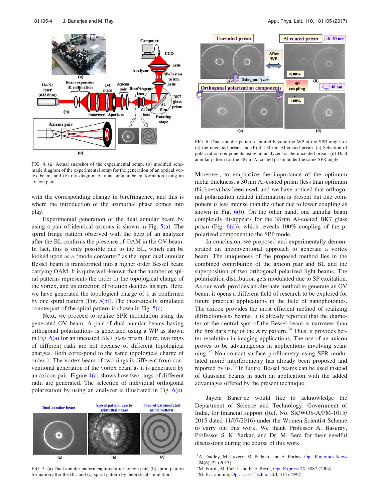

FIG. 4. (a) Actual snapshot of the experimental setup, (b) modified schematic diagram of the experimental setup for the generation of an optical vortex beam, and (c) ray diagram of dual annular beam formation using an axicon pair.

with the corresponding change in birefringence, and this is where the introduction of the azimuthal phase comes into play.

Experimental generation of the dual annular beam by using a pair of identical axicons is shown in Fig.  $5(a)$ . The spiral fringe pattern observed with the help of an analyzer after the BL confirms the presence of OAM in the OV beam. In fact, this is only possible due to the BL, which can be looked upon as a "mode converter" as the input dual annular Bessel beam is transformed into a higher order Bessel beam carrying OAM. It is quite well-known that the number of spiral patterns represents the order or the topological charge of the vortex, and its direction of rotation decides its sign. Here, we have generated the topological charge of 1 as confirmed by one spiral pattern (Fig.  $5(b)$ ). The theoretically simulated counterpart of the spiral pattern is shown in Fig.  $5(c)$ .

Next, we proceed to realize SPR modulation using the generated OV beam. A pair of dual annular beams having orthogonal polarizations is generated using a WP as shown in Fig.  $6(a)$  for an uncoated BK7 glass prism. Here, two rings of different radii are not because of different topological charges. Both correspond to the same topological charge of order 1. The vortex beam of two rings is different from conventional generation of the vortex beam as it is generated by an axicon pair. Figure  $4(c)$  shows how two rings of different radii are generated. The selection of individual orthogonal polarization by using an analyzer is illustrated in Fig.  $6(c)$ .



FIG. 5. (a) Dual annular pattern captured after axicon pair, (b) spiral pattern formation after the BL, and (c) spiral pattern by theoretical simulation.



FIG. 6. Dual annular pattern captured beyond the WP at the SPR angle for (a) the uncoated prism and (b) the 30 nm Al coated prism. (c) Selection of polarization components using an analyzer for the uncoated prism. (d) Dual annular pattern for the 38 nm Al coated prism under the same SPR angle.

Moreover, to emphasize the importance of the optimum metal thickness, a 30 nm Al-coated prism (less than optimum thickness) has been used, and we have noticed that orthogonal polarization related information is present but one component is less intense than the other due to lower coupling as shown in Fig.  $6(b)$ . On the other hand, one annular beam completely disappears for the 38 nm Al-coated BK7 glass prism (Fig.  $6(d)$ ), which reveals 100% coupling of the ppolarized component to the SPP mode.

In conclusion, we proposed and experimentally demonstrated an unconventional approach to generate a vortex beam. The uniqueness of the proposed method lies in the combined contribution of the axicon pair and BL and the superposition of two orthogonal polarized light beams. The polarization distribution gets modulated due to SP excitation. As our work provides an alternate method to generate an OV beam, it opens a different field of research to be explored for future practical applications in the field of nanophotonics. The axicon provides the most efficient method of realizing diffraction-less beams. It is already reported that the diameter of the central spot of the Bessel beam is narrower than the first dark ring of the Airy pattern.<sup>30</sup> Thus, it provides better resolution in imaging applications. The use of an axicon proves to be advantageous in applications involving scanning.<sup>32</sup> Non-contact surface profilometry using SPR modulated moiré interferometry has already been proposed and reported by us.<sup>33</sup> In future, Bessel beams can be used instead of Gaussian beams in such an application with the added advantages offered by the present technique.

Jayeta Banerjee would like to acknowledge the Department of Science and Technology, Government of India, for financial support (Ref. No. SR/WOS-A/PM-1015/ 2015 dated 11/07/2016) under the Women Scientist Scheme to carry out this work. We thank Professor A. Basuray, Professor S. K. Sarkar, and Dr. M. Bera for their needful discussions during the course of this work.

- <sup>1</sup>A. Dudley, M. Lavery, M. Padgett, and A. Forbes, Opt. Photonics News 24(6), 22 (2013).
- $2^2$ M. Fortin, M. Piché, and E. F. Borra, Opt. Express 12, 5887 (2004).
- <sup>3</sup>M. R. Lapointe, Opt. Laser Technol. **24**, 315 (1992).